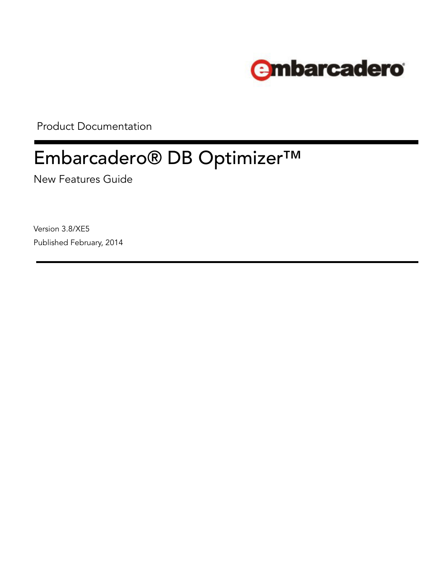

Product Documentation

# Embarcadero® DB Optimizer™

New Features Guide

Version 3.8/XE5 Published February, 2014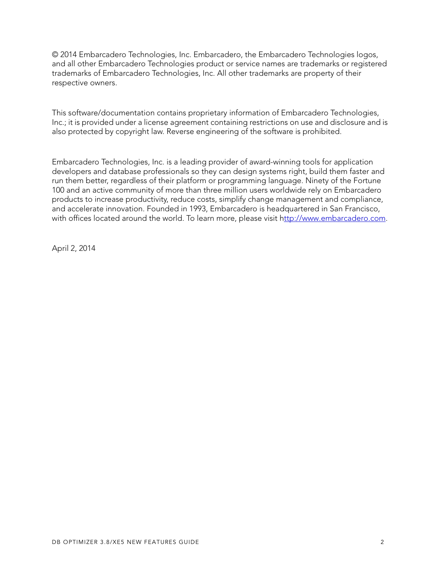© 2014 Embarcadero Technologies, Inc. Embarcadero, the Embarcadero Technologies logos, and all other Embarcadero Technologies product or service names are trademarks or registered trademarks of Embarcadero Technologies, Inc. All other trademarks are property of their respective owners.

This software/documentation contains proprietary information of Embarcadero Technologies, Inc.; it is provided under a license agreement containing restrictions on use and disclosure and is also protected by copyright law. Reverse engineering of the software is prohibited.

Embarcadero Technologies, Inc. is a leading provider of award-winning tools for application developers and database professionals so they can design systems right, build them faster and run them better, regardless of their platform or programming language. Ninety of the Fortune 100 and an active community of more than three million users worldwide rely on Embarcadero products to increase productivity, reduce costs, simplify change management and compliance, and accelerate innovation. Founded in 1993, Embarcadero is headquartered in San Francisco, with offices located around the world. To learn more, please visit h[ttp://www.embarcadero.com](http://www.embarcadero.com).

April 2, 2014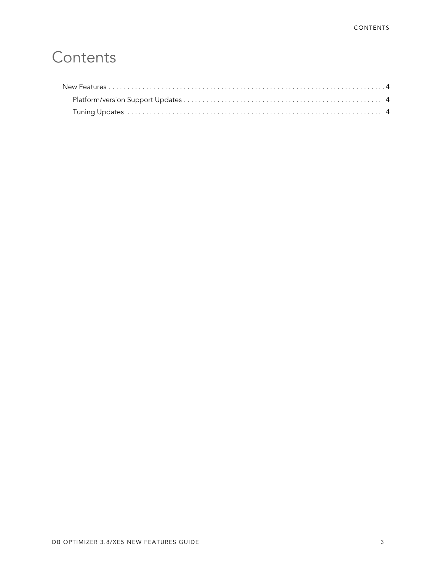## **Contents**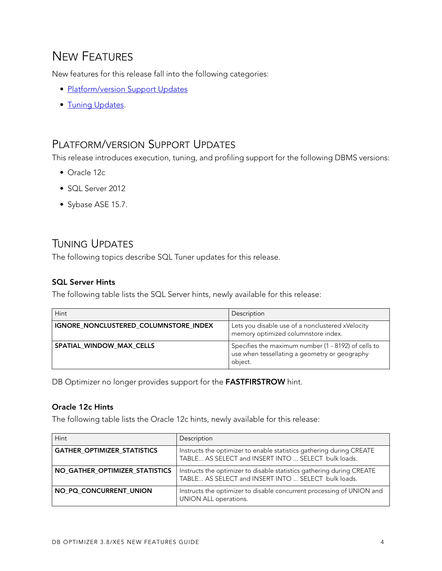### <span id="page-3-0"></span>NEW FEATURES

New features for this release fall into the following categories:

- [Platform/version Support Updates](#page-3-1)
- [Tuning Updates.](#page-3-2)

#### <span id="page-3-1"></span>PLATFORM/VERSION SUPPORT UPDATES

This release introduces execution, tuning, and profiling support for the following DBMS versions:

- Oracle 12c
- SOL Server 2012
- Sybase ASE 15.7.

### <span id="page-3-2"></span>TUNING UPDATES

The following topics describe SQL Tuner updates for this release.

#### **SQL Server Hints**

**SQL Server Hints** The following table lists the SQL Server hints, newly available for this release:

| Hint                                  | Description                                                                                                     |
|---------------------------------------|-----------------------------------------------------------------------------------------------------------------|
| IGNORE NONCLUSTERED COLUMNSTORE INDEX | Lets you disable use of a nonclustered xVelocity<br>memory optimized columnstore index.                         |
| SPATIAL WINDOW MAX CELLS              | Specifies the maximum number (1 - 8192) of cells to<br>use when tessellating a geometry or geography<br>object. |

DB Optimizer no longer provides support for the **FASTFIRSTROW** hint.

**Oracle 12c Hints** The following table lists the Oracle 12c hints, newly available for this release:

| Hint                               | Description                                                                                                                  |
|------------------------------------|------------------------------------------------------------------------------------------------------------------------------|
| <b>GATHER OPTIMIZER STATISTICS</b> | Instructs the optimizer to enable statistics gathering during CREATE<br>TABLE AS SELECT and INSERT INTO  SELECT bulk loads.  |
| NO_GATHER_OPTIMIZER_STATISTICS     | Instructs the optimizer to disable statistics gathering during CREATE<br>TABLE AS SELECT and INSERT INTO  SELECT bulk loads. |
| NO PQ CONCURRENT UNION             | Instructs the optimizer to disable concurrent processing of UNION and<br>UNION ALL operations.                               |